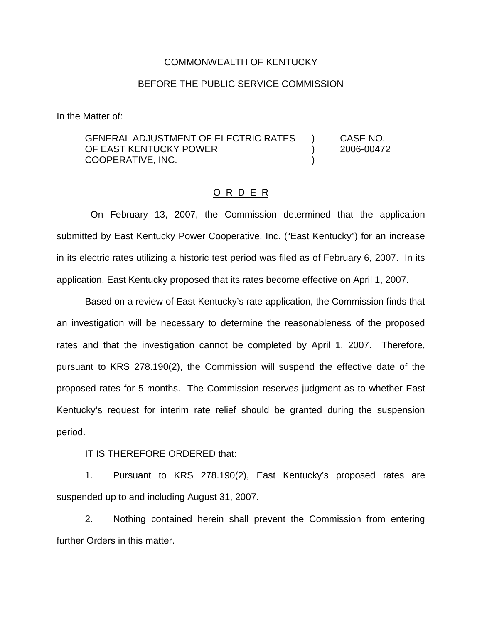## COMMONWEALTH OF KENTUCKY

## BEFORE THE PUBLIC SERVICE COMMISSION

In the Matter of:

GENERAL ADJUSTMENT OF ELECTRIC RATES ) CASE NO. OF EAST KENTUCKY POWER (2006-00472 COOPERATIVE, INC. )

## O R D E R

On February 13, 2007, the Commission determined that the application submitted by East Kentucky Power Cooperative, Inc. ("East Kentucky") for an increase in its electric rates utilizing a historic test period was filed as of February 6, 2007. In its application, East Kentucky proposed that its rates become effective on April 1, 2007.

Based on a review of East Kentucky's rate application, the Commission finds that an investigation will be necessary to determine the reasonableness of the proposed rates and that the investigation cannot be completed by April 1, 2007. Therefore, pursuant to KRS 278.190(2), the Commission will suspend the effective date of the proposed rates for 5 months. The Commission reserves judgment as to whether East Kentucky's request for interim rate relief should be granted during the suspension period.

IT IS THEREFORE ORDERED that:

1. Pursuant to KRS 278.190(2), East Kentucky's proposed rates are suspended up to and including August 31, 2007.

2. Nothing contained herein shall prevent the Commission from entering further Orders in this matter.